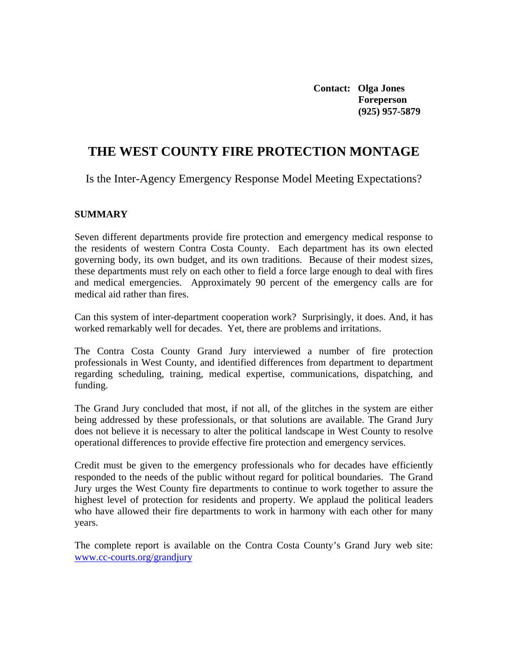**Contact: Olga Jones Foreperson (925) 957-5879** 

# **THE WEST COUNTY FIRE PROTECTION MONTAGE**

Is the Inter-Agency Emergency Response Model Meeting Expectations?

#### **SUMMARY**

Seven different departments provide fire protection and emergency medical response to the residents of western Contra Costa County. Each department has its own elected governing body, its own budget, and its own traditions. Because of their modest sizes, these departments must rely on each other to field a force large enough to deal with fires and medical emergencies. Approximately 90 percent of the emergency calls are for medical aid rather than fires.

Can this system of inter-department cooperation work? Surprisingly, it does. And, it has worked remarkably well for decades. Yet, there are problems and irritations.

The Contra Costa County Grand Jury interviewed a number of fire protection professionals in West County, and identified differences from department to department regarding scheduling, training, medical expertise, communications, dispatching, and funding.

The Grand Jury concluded that most, if not all, of the glitches in the system are either being addressed by these professionals, or that solutions are available. The Grand Jury does not believe it is necessary to alter the political landscape in West County to resolve operational differences to provide effective fire protection and emergency services.

Credit must be given to the emergency professionals who for decades have efficiently responded to the needs of the public without regard for political boundaries. The Grand Jury urges the West County fire departments to continue to work together to assure the highest level of protection for residents and property. We applaud the political leaders who have allowed their fire departments to work in harmony with each other for many years.

The complete report is available on the Contra Costa County's Grand Jury web site: [www.cc-courts.org/grandjury](http://www.cc-courts.org/grandjury)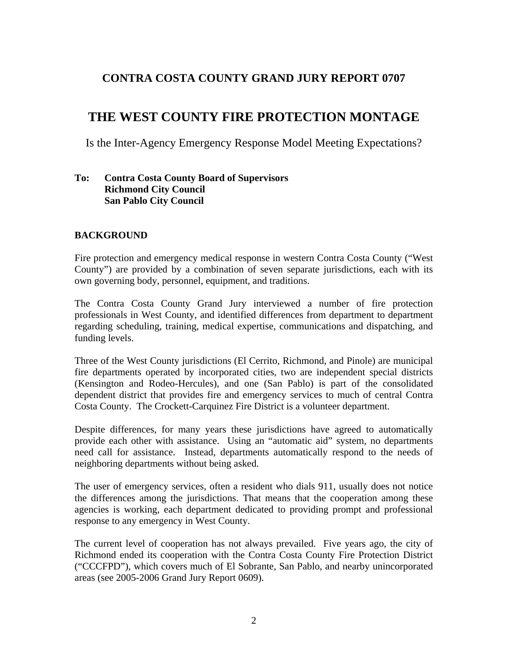## **CONTRA COSTA COUNTY GRAND JURY REPORT 0707**

# **THE WEST COUNTY FIRE PROTECTION MONTAGE**

Is the Inter-Agency Emergency Response Model Meeting Expectations?

## **To: Contra Costa County Board of Supervisors Richmond City Council San Pablo City Council**

## **BACKGROUND**

Fire protection and emergency medical response in western Contra Costa County ("West County") are provided by a combination of seven separate jurisdictions, each with its own governing body, personnel, equipment, and traditions.

The Contra Costa County Grand Jury interviewed a number of fire protection professionals in West County, and identified differences from department to department regarding scheduling, training, medical expertise, communications and dispatching, and funding levels.

Three of the West County jurisdictions (El Cerrito, Richmond, and Pinole) are municipal fire departments operated by incorporated cities, two are independent special districts (Kensington and Rodeo-Hercules), and one (San Pablo) is part of the consolidated dependent district that provides fire and emergency services to much of central Contra Costa County. The Crockett-Carquinez Fire District is a volunteer department.

Despite differences, for many years these jurisdictions have agreed to automatically provide each other with assistance. Using an "automatic aid" system, no departments need call for assistance. Instead, departments automatically respond to the needs of neighboring departments without being asked.

The user of emergency services, often a resident who dials 911, usually does not notice the differences among the jurisdictions. That means that the cooperation among these agencies is working, each department dedicated to providing prompt and professional response to any emergency in West County.

The current level of cooperation has not always prevailed. Five years ago, the city of Richmond ended its cooperation with the Contra Costa County Fire Protection District ("CCCFPD"), which covers much of El Sobrante, San Pablo, and nearby unincorporated areas (see 2005-2006 Grand Jury Report 0609).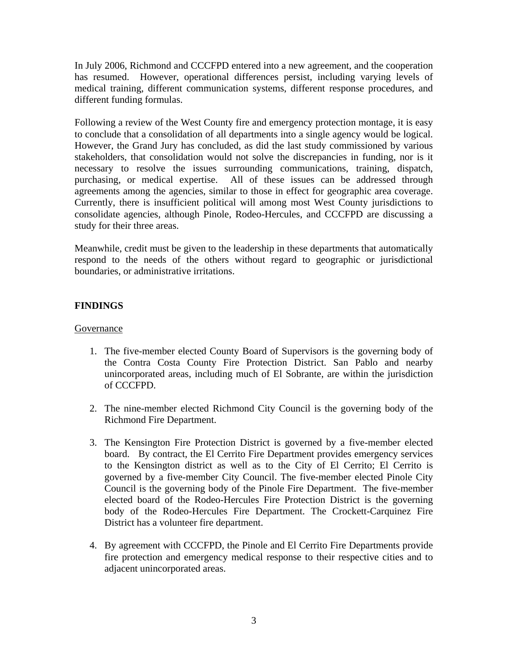In July 2006, Richmond and CCCFPD entered into a new agreement, and the cooperation has resumed. However, operational differences persist, including varying levels of medical training, different communication systems, different response procedures, and different funding formulas.

Following a review of the West County fire and emergency protection montage, it is easy to conclude that a consolidation of all departments into a single agency would be logical. However, the Grand Jury has concluded, as did the last study commissioned by various stakeholders, that consolidation would not solve the discrepancies in funding, nor is it necessary to resolve the issues surrounding communications, training, dispatch, purchasing, or medical expertise. All of these issues can be addressed through agreements among the agencies, similar to those in effect for geographic area coverage. Currently, there is insufficient political will among most West County jurisdictions to consolidate agencies, although Pinole, Rodeo-Hercules, and CCCFPD are discussing a study for their three areas.

Meanwhile, credit must be given to the leadership in these departments that automatically respond to the needs of the others without regard to geographic or jurisdictional boundaries, or administrative irritations.

## **FINDINGS**

### Governance

- 1. The five-member elected County Board of Supervisors is the governing body of the Contra Costa County Fire Protection District. San Pablo and nearby unincorporated areas, including much of El Sobrante, are within the jurisdiction of CCCFPD.
- 2. The nine-member elected Richmond City Council is the governing body of the Richmond Fire Department.
- 3. The Kensington Fire Protection District is governed by a five-member elected board. By contract, the El Cerrito Fire Department provides emergency services to the Kensington district as well as to the City of El Cerrito; El Cerrito is governed by a five-member City Council. The five-member elected Pinole City Council is the governing body of the Pinole Fire Department. The five-member elected board of the Rodeo-Hercules Fire Protection District is the governing body of the Rodeo-Hercules Fire Department. The Crockett-Carquinez Fire District has a volunteer fire department.
- 4. By agreement with CCCFPD, the Pinole and El Cerrito Fire Departments provide fire protection and emergency medical response to their respective cities and to adjacent unincorporated areas.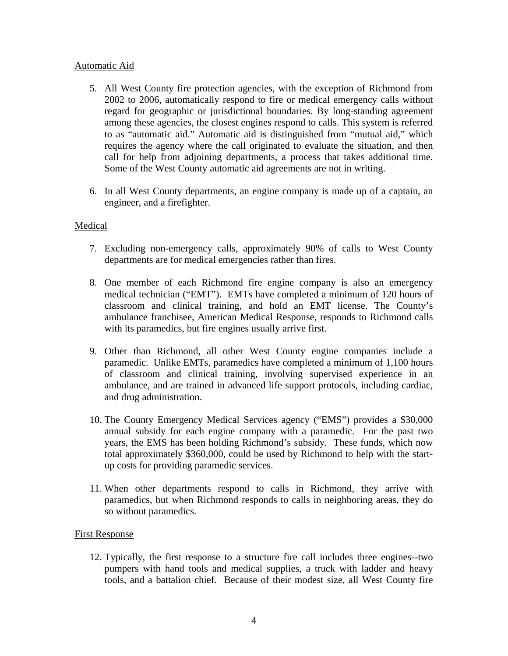## Automatic Aid

- 5. All West County fire protection agencies, with the exception of Richmond from 2002 to 2006, automatically respond to fire or medical emergency calls without regard for geographic or jurisdictional boundaries. By long-standing agreement among these agencies, the closest engines respond to calls. This system is referred to as "automatic aid." Automatic aid is distinguished from "mutual aid," which requires the agency where the call originated to evaluate the situation, and then call for help from adjoining departments, a process that takes additional time. Some of the West County automatic aid agreements are not in writing.
- 6. In all West County departments, an engine company is made up of a captain, an engineer, and a firefighter.

## Medical

- 7. Excluding non-emergency calls, approximately 90% of calls to West County departments are for medical emergencies rather than fires.
- 8. One member of each Richmond fire engine company is also an emergency medical technician ("EMT"). EMTs have completed a minimum of 120 hours of classroom and clinical training, and hold an EMT license. The County's ambulance franchisee, American Medical Response, responds to Richmond calls with its paramedics, but fire engines usually arrive first.
- 9. Other than Richmond, all other West County engine companies include a paramedic. Unlike EMTs, paramedics have completed a minimum of 1,100 hours of classroom and clinical training, involving supervised experience in an ambulance, and are trained in advanced life support protocols, including cardiac, and drug administration.
- 10. The County Emergency Medical Services agency ("EMS") provides a \$30,000 annual subsidy for each engine company with a paramedic. For the past two years, the EMS has been holding Richmond's subsidy. These funds, which now total approximately \$360,000, could be used by Richmond to help with the startup costs for providing paramedic services.
- 11. When other departments respond to calls in Richmond, they arrive with paramedics, but when Richmond responds to calls in neighboring areas, they do so without paramedics.

#### First Response

12. Typically, the first response to a structure fire call includes three engines--two pumpers with hand tools and medical supplies, a truck with ladder and heavy tools, and a battalion chief. Because of their modest size, all West County fire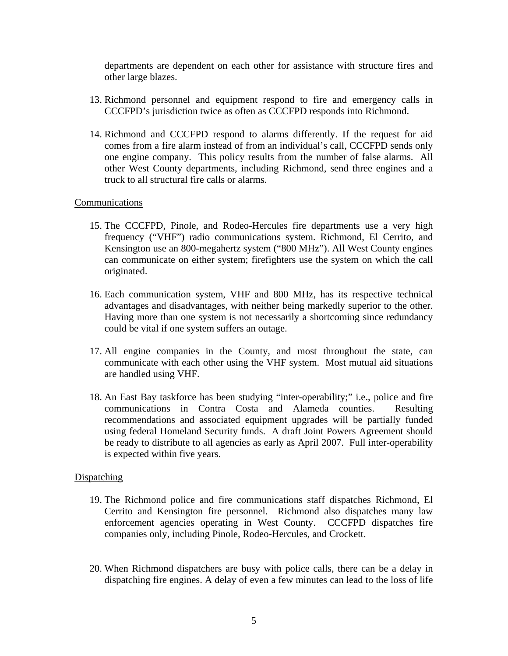departments are dependent on each other for assistance with structure fires and other large blazes.

- 13. Richmond personnel and equipment respond to fire and emergency calls in CCCFPD's jurisdiction twice as often as CCCFPD responds into Richmond.
- 14. Richmond and CCCFPD respond to alarms differently. If the request for aid comes from a fire alarm instead of from an individual's call, CCCFPD sends only one engine company. This policy results from the number of false alarms. All other West County departments, including Richmond, send three engines and a truck to all structural fire calls or alarms.

#### **Communications**

- 15. The CCCFPD, Pinole, and Rodeo-Hercules fire departments use a very high frequency ("VHF") radio communications system. Richmond, El Cerrito, and Kensington use an 800-megahertz system ("800 MHz"). All West County engines can communicate on either system; firefighters use the system on which the call originated.
- 16. Each communication system, VHF and 800 MHz, has its respective technical advantages and disadvantages, with neither being markedly superior to the other. Having more than one system is not necessarily a shortcoming since redundancy could be vital if one system suffers an outage.
- 17. All engine companies in the County, and most throughout the state, can communicate with each other using the VHF system. Most mutual aid situations are handled using VHF.
- 18. An East Bay taskforce has been studying "inter-operability;" i.e., police and fire communications in Contra Costa and Alameda counties. Resulting recommendations and associated equipment upgrades will be partially funded using federal Homeland Security funds. A draft Joint Powers Agreement should be ready to distribute to all agencies as early as April 2007. Full inter-operability is expected within five years.

#### **Dispatching**

- 19. The Richmond police and fire communications staff dispatches Richmond, El Cerrito and Kensington fire personnel. Richmond also dispatches many law enforcement agencies operating in West County. CCCFPD dispatches fire companies only, including Pinole, Rodeo-Hercules, and Crockett.
- 20. When Richmond dispatchers are busy with police calls, there can be a delay in dispatching fire engines. A delay of even a few minutes can lead to the loss of life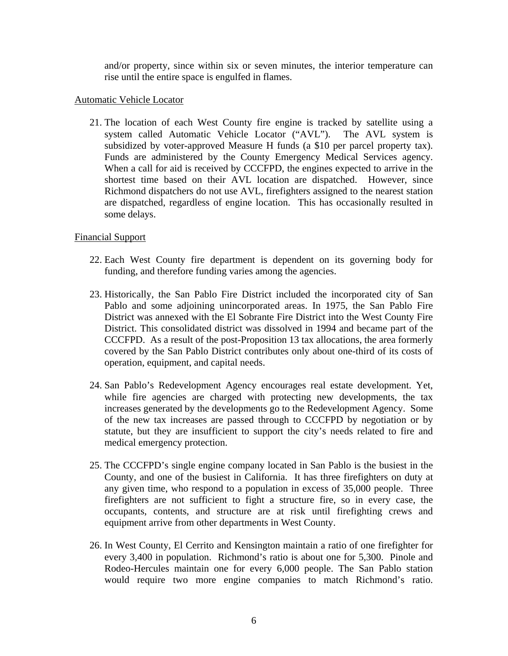and/or property, since within six or seven minutes, the interior temperature can rise until the entire space is engulfed in flames.

#### Automatic Vehicle Locator

21. The location of each West County fire engine is tracked by satellite using a system called Automatic Vehicle Locator ("AVL"). The AVL system is subsidized by voter-approved Measure H funds (a \$10 per parcel property tax). Funds are administered by the County Emergency Medical Services agency. When a call for aid is received by CCCFPD, the engines expected to arrive in the shortest time based on their AVL location are dispatched. However, since Richmond dispatchers do not use AVL, firefighters assigned to the nearest station are dispatched, regardless of engine location. This has occasionally resulted in some delays.

#### Financial Support

- 22. Each West County fire department is dependent on its governing body for funding, and therefore funding varies among the agencies.
- 23. Historically, the San Pablo Fire District included the incorporated city of San Pablo and some adjoining unincorporated areas. In 1975, the San Pablo Fire District was annexed with the El Sobrante Fire District into the West County Fire District. This consolidated district was dissolved in 1994 and became part of the CCCFPD. As a result of the post-Proposition 13 tax allocations, the area formerly covered by the San Pablo District contributes only about one-third of its costs of operation, equipment, and capital needs.
- 24. San Pablo's Redevelopment Agency encourages real estate development. Yet, while fire agencies are charged with protecting new developments, the tax increases generated by the developments go to the Redevelopment Agency. Some of the new tax increases are passed through to CCCFPD by negotiation or by statute, but they are insufficient to support the city's needs related to fire and medical emergency protection.
- 25. The CCCFPD's single engine company located in San Pablo is the busiest in the County, and one of the busiest in California. It has three firefighters on duty at any given time, who respond to a population in excess of 35,000 people. Three firefighters are not sufficient to fight a structure fire, so in every case, the occupants, contents, and structure are at risk until firefighting crews and equipment arrive from other departments in West County.
- 26. In West County, El Cerrito and Kensington maintain a ratio of one firefighter for every 3,400 in population. Richmond's ratio is about one for 5,300. Pinole and Rodeo-Hercules maintain one for every 6,000 people. The San Pablo station would require two more engine companies to match Richmond's ratio.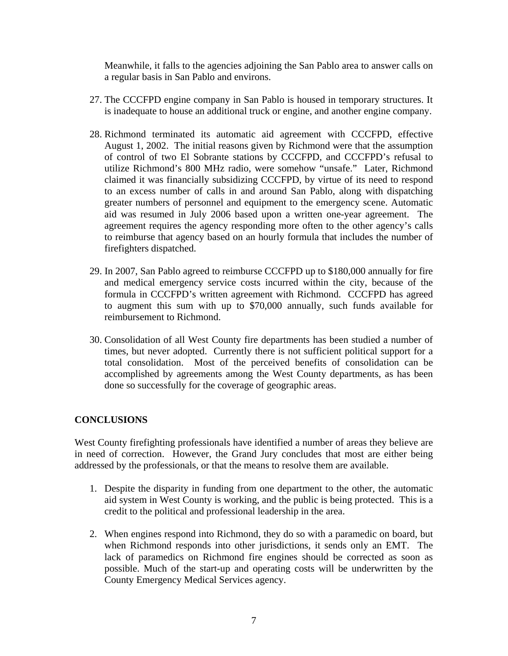Meanwhile, it falls to the agencies adjoining the San Pablo area to answer calls on a regular basis in San Pablo and environs.

- 27. The CCCFPD engine company in San Pablo is housed in temporary structures. It is inadequate to house an additional truck or engine, and another engine company.
- 28. Richmond terminated its automatic aid agreement with CCCFPD, effective August 1, 2002. The initial reasons given by Richmond were that the assumption of control of two El Sobrante stations by CCCFPD, and CCCFPD's refusal to utilize Richmond's 800 MHz radio, were somehow "unsafe." Later, Richmond claimed it was financially subsidizing CCCFPD, by virtue of its need to respond to an excess number of calls in and around San Pablo, along with dispatching greater numbers of personnel and equipment to the emergency scene. Automatic aid was resumed in July 2006 based upon a written one-year agreement. The agreement requires the agency responding more often to the other agency's calls to reimburse that agency based on an hourly formula that includes the number of firefighters dispatched.
- 29. In 2007, San Pablo agreed to reimburse CCCFPD up to \$180,000 annually for fire and medical emergency service costs incurred within the city, because of the formula in CCCFPD's written agreement with Richmond. CCCFPD has agreed to augment this sum with up to \$70,000 annually, such funds available for reimbursement to Richmond.
- 30. Consolidation of all West County fire departments has been studied a number of times, but never adopted. Currently there is not sufficient political support for a total consolidation. Most of the perceived benefits of consolidation can be accomplished by agreements among the West County departments, as has been done so successfully for the coverage of geographic areas.

## **CONCLUSIONS**

West County firefighting professionals have identified a number of areas they believe are in need of correction. However, the Grand Jury concludes that most are either being addressed by the professionals, or that the means to resolve them are available.

- 1. Despite the disparity in funding from one department to the other, the automatic aid system in West County is working, and the public is being protected. This is a credit to the political and professional leadership in the area.
- 2. When engines respond into Richmond, they do so with a paramedic on board, but when Richmond responds into other jurisdictions, it sends only an EMT. The lack of paramedics on Richmond fire engines should be corrected as soon as possible. Much of the start-up and operating costs will be underwritten by the County Emergency Medical Services agency.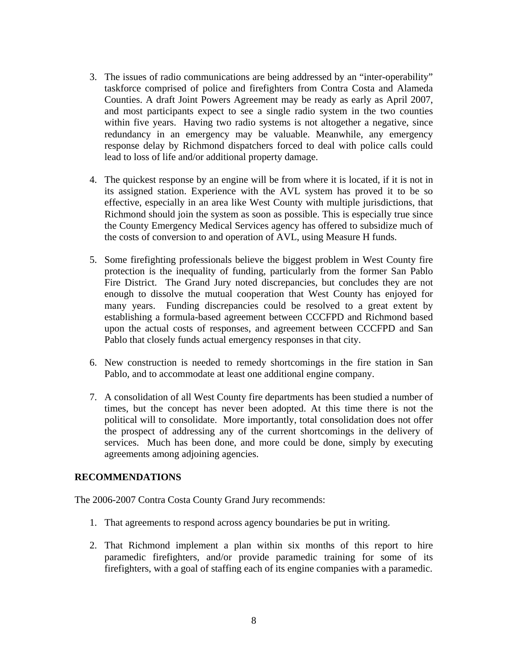- 3. The issues of radio communications are being addressed by an "inter-operability" taskforce comprised of police and firefighters from Contra Costa and Alameda Counties. A draft Joint Powers Agreement may be ready as early as April 2007, and most participants expect to see a single radio system in the two counties within five years. Having two radio systems is not altogether a negative, since redundancy in an emergency may be valuable. Meanwhile, any emergency response delay by Richmond dispatchers forced to deal with police calls could lead to loss of life and/or additional property damage.
- 4. The quickest response by an engine will be from where it is located, if it is not in its assigned station. Experience with the AVL system has proved it to be so effective, especially in an area like West County with multiple jurisdictions, that Richmond should join the system as soon as possible. This is especially true since the County Emergency Medical Services agency has offered to subsidize much of the costs of conversion to and operation of AVL, using Measure H funds.
- 5. Some firefighting professionals believe the biggest problem in West County fire protection is the inequality of funding, particularly from the former San Pablo Fire District. The Grand Jury noted discrepancies, but concludes they are not enough to dissolve the mutual cooperation that West County has enjoyed for many years. Funding discrepancies could be resolved to a great extent by establishing a formula-based agreement between CCCFPD and Richmond based upon the actual costs of responses, and agreement between CCCFPD and San Pablo that closely funds actual emergency responses in that city.
- 6. New construction is needed to remedy shortcomings in the fire station in San Pablo, and to accommodate at least one additional engine company.
- 7. A consolidation of all West County fire departments has been studied a number of times, but the concept has never been adopted. At this time there is not the political will to consolidate. More importantly, total consolidation does not offer the prospect of addressing any of the current shortcomings in the delivery of services. Much has been done, and more could be done, simply by executing agreements among adjoining agencies.

#### **RECOMMENDATIONS**

The 2006-2007 Contra Costa County Grand Jury recommends:

- 1. That agreements to respond across agency boundaries be put in writing.
- 2. That Richmond implement a plan within six months of this report to hire paramedic firefighters, and/or provide paramedic training for some of its firefighters, with a goal of staffing each of its engine companies with a paramedic.